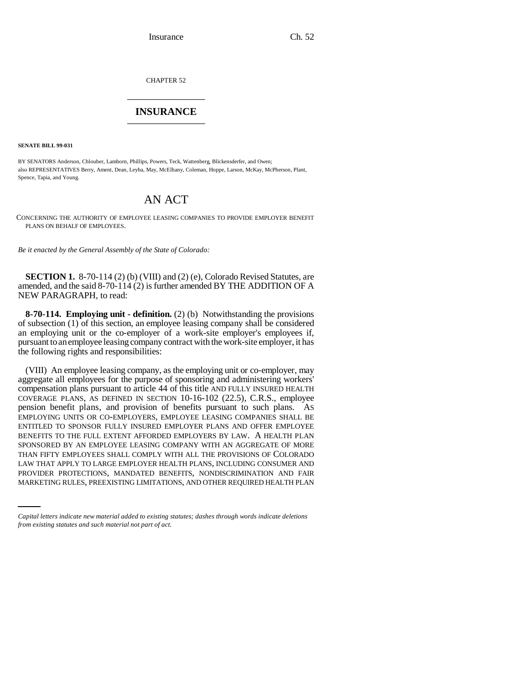CHAPTER 52 \_\_\_\_\_\_\_\_\_\_\_\_\_\_\_

## **INSURANCE** \_\_\_\_\_\_\_\_\_\_\_\_\_\_\_

**SENATE BILL 99-031** 

BY SENATORS Anderson, Chlouber, Lamborn, Phillips, Powers, Teck, Wattenberg, Blickensderfer, and Owen; also REPRESENTATIVES Berry, Ament, Dean, Leyba, May, McElhany, Coleman, Hoppe, Larson, McKay, McPherson, Plant, Spence, Tapia, and Young.

## AN ACT

CONCERNING THE AUTHORITY OF EMPLOYEE LEASING COMPANIES TO PROVIDE EMPLOYER BENEFIT PLANS ON BEHALF OF EMPLOYEES.

*Be it enacted by the General Assembly of the State of Colorado:*

**SECTION 1.** 8-70-114 (2) (b) (VIII) and (2) (e), Colorado Revised Statutes, are amended, and the said 8-70-114 (2) is further amended BY THE ADDITION OF A NEW PARAGRAPH, to read:

**8-70-114. Employing unit - definition.** (2) (b) Notwithstanding the provisions of subsection (1) of this section, an employee leasing company shall be considered an employing unit or the co-employer of a work-site employer's employees if, pursuant to an employee leasing company contract with the work-site employer, it has the following rights and responsibilities:

LAW THAT APPLY TO LARGE EMPLOYER HEALTH PLANS, INCLUDING CONSUMER AND (VIII) An employee leasing company, as the employing unit or co-employer, may aggregate all employees for the purpose of sponsoring and administering workers' compensation plans pursuant to article 44 of this title AND FULLY INSURED HEALTH COVERAGE PLANS, AS DEFINED IN SECTION 10-16-102 (22.5), C.R.S., employee pension benefit plans, and provision of benefits pursuant to such plans. AS EMPLOYING UNITS OR CO-EMPLOYERS, EMPLOYEE LEASING COMPANIES SHALL BE ENTITLED TO SPONSOR FULLY INSURED EMPLOYER PLANS AND OFFER EMPLOYEE BENEFITS TO THE FULL EXTENT AFFORDED EMPLOYERS BY LAW. A HEALTH PLAN SPONSORED BY AN EMPLOYEE LEASING COMPANY WITH AN AGGREGATE OF MORE THAN FIFTY EMPLOYEES SHALL COMPLY WITH ALL THE PROVISIONS OF COLORADO PROVIDER PROTECTIONS, MANDATED BENEFITS, NONDISCRIMINATION AND FAIR MARKETING RULES, PREEXISTING LIMITATIONS, AND OTHER REQUIRED HEALTH PLAN

*Capital letters indicate new material added to existing statutes; dashes through words indicate deletions from existing statutes and such material not part of act.*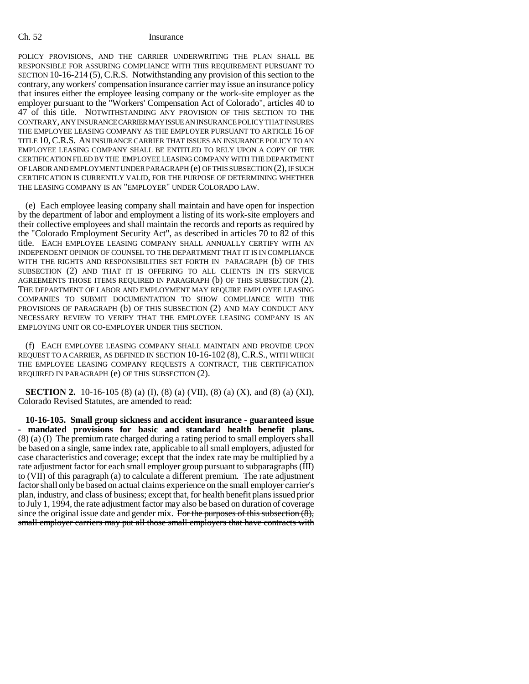## Ch. 52 Insurance

POLICY PROVISIONS, AND THE CARRIER UNDERWRITING THE PLAN SHALL BE RESPONSIBLE FOR ASSURING COMPLIANCE WITH THIS REQUIREMENT PURSUANT TO SECTION 10-16-214 (5), C.R.S. Notwithstanding any provision of this section to the contrary, any workers' compensation insurance carrier may issue an insurance policy that insures either the employee leasing company or the work-site employer as the employer pursuant to the "Workers' Compensation Act of Colorado", articles 40 to 47 of this title. NOTWITHSTANDING ANY PROVISION OF THIS SECTION TO THE CONTRARY, ANY INSURANCE CARRIER MAY ISSUE AN INSURANCE POLICY THAT INSURES THE EMPLOYEE LEASING COMPANY AS THE EMPLOYER PURSUANT TO ARTICLE 16 OF TITLE 10,C.R.S. AN INSURANCE CARRIER THAT ISSUES AN INSURANCE POLICY TO AN EMPLOYEE LEASING COMPANY SHALL BE ENTITLED TO RELY UPON A COPY OF THE CERTIFICATION FILED BY THE EMPLOYEE LEASING COMPANY WITH THE DEPARTMENT OF LABOR AND EMPLOYMENT UNDER PARAGRAPH (e) OF THIS SUBSECTION (2), IF SUCH CERTIFICATION IS CURRENTLY VALID, FOR THE PURPOSE OF DETERMINING WHETHER THE LEASING COMPANY IS AN "EMPLOYER" UNDER COLORADO LAW.

(e) Each employee leasing company shall maintain and have open for inspection by the department of labor and employment a listing of its work-site employers and their collective employees and shall maintain the records and reports as required by the "Colorado Employment Security Act", as described in articles 70 to 82 of this title. EACH EMPLOYEE LEASING COMPANY SHALL ANNUALLY CERTIFY WITH AN INDEPENDENT OPINION OF COUNSEL TO THE DEPARTMENT THAT IT IS IN COMPLIANCE WITH THE RIGHTS AND RESPONSIBILITIES SET FORTH IN PARAGRAPH (b) OF THIS SUBSECTION (2) AND THAT IT IS OFFERING TO ALL CLIENTS IN ITS SERVICE AGREEMENTS THOSE ITEMS REQUIRED IN PARAGRAPH (b) OF THIS SUBSECTION (2). THE DEPARTMENT OF LABOR AND EMPLOYMENT MAY REQUIRE EMPLOYEE LEASING COMPANIES TO SUBMIT DOCUMENTATION TO SHOW COMPLIANCE WITH THE PROVISIONS OF PARAGRAPH (b) OF THIS SUBSECTION (2) AND MAY CONDUCT ANY NECESSARY REVIEW TO VERIFY THAT THE EMPLOYEE LEASING COMPANY IS AN EMPLOYING UNIT OR CO-EMPLOYER UNDER THIS SECTION.

(f) EACH EMPLOYEE LEASING COMPANY SHALL MAINTAIN AND PROVIDE UPON REQUEST TO A CARRIER, AS DEFINED IN SECTION 10-16-102 (8), C.R.S., WITH WHICH THE EMPLOYEE LEASING COMPANY REQUESTS A CONTRACT, THE CERTIFICATION REQUIRED IN PARAGRAPH (e) OF THIS SUBSECTION (2).

**SECTION 2.** 10-16-105 (8) (a) (I), (8) (a) (VII), (8) (a) (X), and (8) (a) (XI), Colorado Revised Statutes, are amended to read:

**10-16-105. Small group sickness and accident insurance - guaranteed issue - mandated provisions for basic and standard health benefit plans.** (8) (a) (I) The premium rate charged during a rating period to small employers shall be based on a single, same index rate, applicable to all small employers, adjusted for case characteristics and coverage; except that the index rate may be multiplied by a rate adjustment factor for each small employer group pursuant to subparagraphs (III) to (VII) of this paragraph (a) to calculate a different premium. The rate adjustment factor shall only be based on actual claims experience on the small employer carrier's plan, industry, and class of business; except that, for health benefit plans issued prior to July 1, 1994, the rate adjustment factor may also be based on duration of coverage since the original issue date and gender mix. For the purposes of this subsection  $(\overline{8})$ , small employer carriers may put all those small employers that have contracts with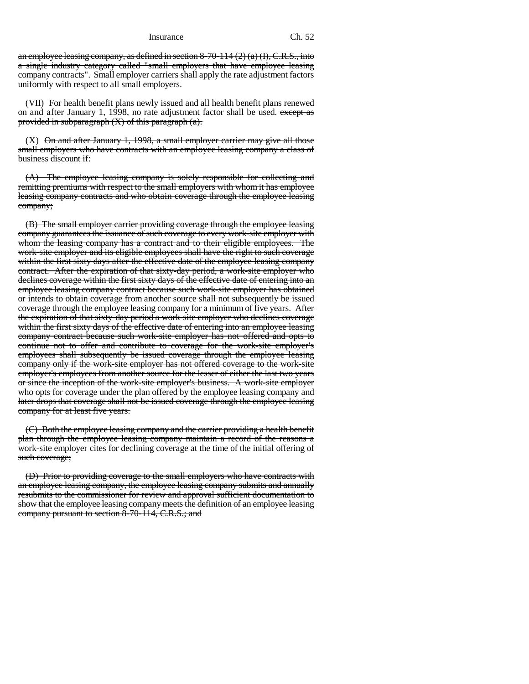Insurance Ch. 52

an employee leasing company, as defined in section 8-70-114  $(2)$  (a)  $(I)$ , C.R.S., into a single industry category called "small employers that have employee leasing company contracts". Small employer carriers shall apply the rate adjustment factors uniformly with respect to all small employers.

(VII) For health benefit plans newly issued and all health benefit plans renewed on and after January 1, 1998, no rate adjustment factor shall be used. except as provided in subparagraph  $(X)$  of this paragraph  $(a)$ .

 $(X)$  On and after January 1, 1998, a small employer carrier may give all those small employers who have contracts with an employee leasing company a class of business discount if:

(A) The employee leasing company is solely responsible for collecting and remitting premiums with respect to the small employers with whom it has employee leasing company contracts and who obtain coverage through the employee leasing company;

(B) The small employer carrier providing coverage through the employee leasing company guarantees the issuance of such coverage to every work-site employer with whom the leasing company has a contract and to their eligible employees. The work-site employer and its eligible employees shall have the right to such coverage within the first sixty days after the effective date of the employee leasing company contract. After the expiration of that sixty-day period, a work-site employer who declines coverage within the first sixty days of the effective date of entering into an employee leasing company contract because such work-site employer has obtained or intends to obtain coverage from another source shall not subsequently be issued coverage through the employee leasing company for a minimum of five years. After the expiration of that sixty-day period a work-site employer who declines coverage within the first sixty days of the effective date of entering into an employee leasing company contract because such work-site employer has not offered and opts to continue not to offer and contribute to coverage for the work-site employer's employees shall subsequently be issued coverage through the employee leasing company only if the work-site employer has not offered coverage to the work-site employer's employees from another source for the lesser of either the last two years or since the inception of the work-site employer's business. A work-site employer who opts for coverage under the plan offered by the employee leasing company and later drops that coverage shall not be issued coverage through the employee leasing company for at least five years.

(C) Both the employee leasing company and the carrier providing a health benefit plan through the employee leasing company maintain a record of the reasons a work-site employer cites for declining coverage at the time of the initial offering of such coverage;

(D) Prior to providing coverage to the small employers who have contracts with an employee leasing company, the employee leasing company submits and annually resubmits to the commissioner for review and approval sufficient documentation to show that the employee leasing company meets the definition of an employee leasing company pursuant to section 8-70-114, C.R.S.; and